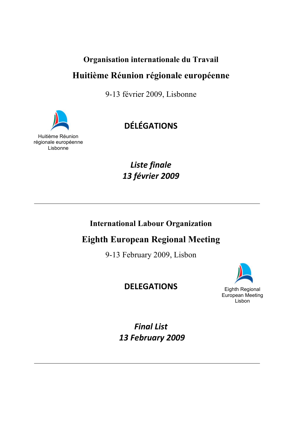# **Organisation internationale du Travail**

# **Huitième Réunion régionale européenne**

9-13 février 2009, Lisbonne



# **DÉLÉGATIONS**

Huitième Réunion régionale européenne Lisbonne

> *Liste finale 13 février 2009*

# **International Labour Organization**

**Eighth European Regional Meeting** 

9-13 February 2009, Lisbon

# **DELEGATIONS**



*Final List 13 February 2009*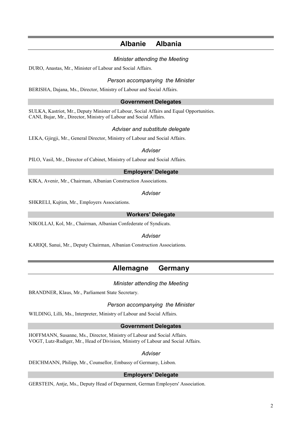## **Albanie Albania**

## *Minister attending the Meeting*

DURO, Anastas, Mr., Minister of Labour and Social Affairs.

## *Person accompanying the Minister*

BERISHA, Dajana, Ms., Director, Ministry of Labour and Social Affairs.

## **Government Delegates**

SULKA, Kastriot, Mr., Deputy Minister of Labour, Social Affairs and Equal Opportunities. CANI, Bujar, Mr., Director, Ministry of Labour and Social Affairs.

## *Adviser and substitute delegate*

LEKA, Gjirgji, Mr., General Director, Ministry of Labour and Social Affairs.

## *Adviser*

PILO, Vasil, Mr., Director of Cabinet, Ministry of Labour and Social Affairs.

## **Employers' Delegate**

KIKA, Avenir, Mr., Chairman, Albanian Construction Associations.

## *Adviser*

SHKRELI, Kujtim, Mr., Employers Associations.

## **Workers' Delegate**

NIKOLLAJ, Kol, Mr., Chairman, Albanian Confederate of Syndicats.

## *Adviser*

KARIQI, Sanui, Mr., Deputy Chairman, Albanian Construction Associations.

## **Allemagne Germany**

## *Minister attending the Meeting*

BRANDNER, Klaus, Mr., Parliament State Secretary.

## *Person accompanying the Minister*

WILDING, Lilli, Ms., Interpreter, Ministry of Labour and Social Affairs.

## **Government Delegates**

HOFFMANN, Susanne, Ms., Director, Ministry of Labour and Social Affairs. VOGT, Lutz-Rudiger, Mr., Head of Division, Ministry of Labour and Social Affairs.

## *Adviser*

DEICHMANN, Philipp, Mr., Counsellor, Embassy of Germany, Lisbon.

## **Employers' Delegate**

GERSTEIN, Antje, Ms., Deputy Head of Deparment, German Employers' Association.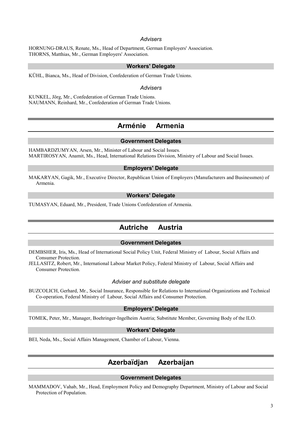## *Advisers*

HORNUNG-DRAUS, Renate, Ms., Head of Department, German Employers' Association. THORNS, Matthias, Mr., German Employers' Association.

#### **Workers' Delegate**

KÜHL, Bianca, Ms., Head of Division, Confederation of German Trade Unions.

#### *Advisers*

KUNKEL, Jörg, Mr., Confederation of German Trade Unions. NAUMANN, Reinhard, Mr., Confederation of German Trade Unions.

## **Arménie Armenia**

## **Government Delegates**

HAMBARDZUMYAN, Arsen, Mr., Minister of Labour and Social Issues. MARTIROSYAN, Anamit, Ms., Head, International Relations Division, Ministry of Labour and Social Issues.

#### **Employers' Delegate**

MAKARYAN, Gagik, Mr., Executive Director, Republican Union of Employers (Manufacturers and Businessmen) of Armenia.

#### **Workers' Delegate**

TUMASYAN, Eduard, Mr., President, Trade Unions Confederation of Armenia.

## **Autriche Austria**

## **Government Delegates**

DEMBSHER, Iris, Ms., Head of International Social Policy Unit, Federal Ministry of Labour, Social Affairs and Consumer Protection.

JELLASITZ, Robert, Mr., International Labour Market Policy, Federal Ministry of Labour, Social Affairs and Consumer Protection.

#### *Adviser and substitute delegate*

BUZCOLICH, Gerhard, Mr., Social Insurance, Responsible for Relations to International Organizations and Technical Co-operation, Federal Ministry of Labour, Social Affairs and Consumer Protection.

## **Employers' Delegate**

TOMEK, Peter, Mr., Manager, Boehringer-Ingelheim Austria; Substitute Member, Governing Body of the ILO.

## **Workers' Delegate**

BEI, Neda, Ms., Social Affairs Management, Chamber of Labour, Vienna.

## **Azerbaïdjan Azerbaijan**

#### **Government Delegates**

MAMMADOV, Vahab, Mr., Head, Employment Policy and Demography Department, Ministry of Labour and Social Protection of Population.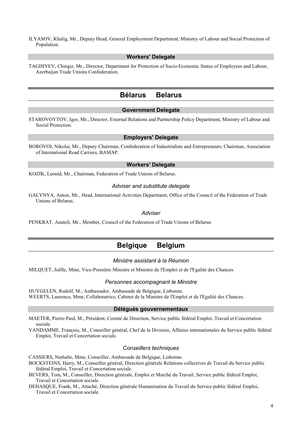ILYASOV, Khalig, Mr., Deputy Head, General Employment Department, Ministry of Labour and Social Protection of Population.

## **Workers' Delegate**

TAGHIYEV, Chingiz, Mr., Director, Department for Protection of Socio-Economic Status of Employees and Labour, Azerbaijan Trade Unions Confederation.

## **Bélarus Belarus**

## **Government Delegate**

STAROVOYTOV, Igor, Mr., Director, External Relations and Partnership Policy Department, Ministry of Labour and Social Protection.

### **Employers' Delegate**

BOROVOI, Nikolai, Mr., Deputy Chairman, Confederation of Industrialists and Entrepreneurs; Chairman, Association of International Road Carriers, BAMAP.

#### **Workers' Delegate**

KOZIK, Leonid, Mr., Chairman, Federation of Trade Unions of Belarus.

### *Adviser and substitute delegate*

GALYNYA, Anton, Mr., Head, International Activities Department, Office of the Council of the Federation of Trade Unions of Belarus.

#### *Adviser*

PENKRAT, Anatoli, Mr., Member, Council of the Federation of Trade Unions of Belarus.

## **Belgique Belgium**

#### *Ministre assistant à la Réunion*

MILQUET, Joëlle, Mme, Vice-Première Ministre et Ministre de l'Emploi et de l'Egalité des Chances.

#### *Personnes accompagnant le Ministre*

HUYGELEN, Rudolf, M., Ambassador, Ambassade de Belgique, Lisbonne. WEERTS, Laurence, Mme, Collaboratrice, Cabinet de la Ministre de l'Emploi et de l'Egalité des Chances.

### **Délégués gouvernementaux**

MAETER, Pierre-Paul, M., Président, Comité de Direction, Service public fédéral Emploi, Travail et Concertation sociale.

VANDAMME, François, M., Conseiller général, Chef de la Division, Affaires internationales du Service public fédéral Emploi, Travail et Concertation sociale.

#### *Conseillers techniques*

CASSIERS, Nathalie, Mme, Conseiller, Ambassade de Belgique, Lisbonne.

BOCKSTEINS, Harry, M., Conseiller général, Direction générale Relations collectives de Travail du Service public fédéral Emploi, Travail et Concertation sociale.

BEVERS, Tom, M., Conseiller, Direction générale, Emploi et Marché du Travail, Service public fédéral Emploi, Travail et Concertation sociale.

DEHASQUE, Frank, M., Attaché, Direction générale Humanisation du Travail du Service public fédéral Emploi, Travail et Concertation sociale.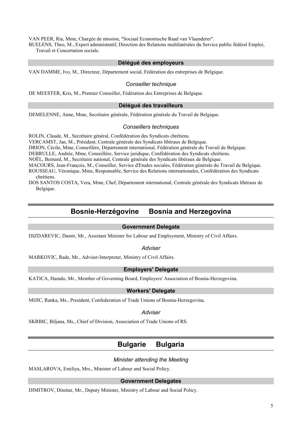VAN PEER, Ria, Mme, Chargée de mission, "Sociaal Economische Raad van Vlaanderer".

BUELENS, Theo, M., Expert administratif, Direction des Relations multilatérales du Service public fédéral Emploi, Travail et Concertation sociale.

#### **Délégué des employeurs**

VAN DAMME, Ivo, M., Directeur, Département social, Fédération des entreprises de Belgique.

#### *Conseiller technique*

DE MEESTER, Kris, M., Premier Conseiller, Fédération des Entreprises de Belgique.

#### **Délégué des travailleurs**

DEMELENNE, Anne, Mme, Secrétaire générale, Fédération générale du Travail de Belgique.

#### *Conseillers techniques*

ROLIN, Claude, M., Secrétaire général, Confédération des Syndicats chrétiens.

VERCAMST, Jan, M., Président, Centrale générale des Syndicats libéraux de Belgique.

DRION, Cécile, Mme, Conseillère, Département international, Fédération générale du Travail de Belgique.

DEBRULLE, Andrée, Mme, Conseillère, Service juridique, Confédération des Syndicats chrétiens.

NOËL, Bernard, M., Secrétaire national, Centrale générale des Syndicats libéraux de Belgique.

MACOURS, Jean-François, M., Conseiller, Service d'Etudes sociales, Fédération générale du Travail de Belgique. ROUSSEAU, Véronique, Mme, Responsable, Service des Relations internationales, Confédération des Syndicats chrétiens.

DOS SANTOS COSTA, Vera, Mme, Chef, Département international, Centrale générale des Syndicats libéraux de Belgique.

## **Bosnie-Herzégovine Bosnia and Herzegovina**

## **Government Delegate**

DIZDAREVIC, Damir, Mr., Assistant Minister for Labour and Employment, Ministry of Civil Affairs.

### *Adviser*

MARKOVIC, Rade, Mr., Adviser-Interpreter, Ministry of Civil Affairs.

### **Employers' Delegate**

KATICA, Hamdo, Mr., Member of Governing Board, Employers' Association of Bosnia-Herzegovina.

## **Workers' Delegate**

MIJIC, Ranka, Ms., President, Confederation of Trade Unions of Bosnia-Herzegovina.

#### *Adviser*

SKRBIC, Biljana, Ms., Chief of Division, Association of Trade Unions of RS.

## **Bulgarie Bulgaria**

#### *Minister attending the Meeting*

MASLAROVA, Emiliya, Mrs., Minister of Labour and Social Policy.

## **Government Delegates**

DIMITROV, Dimitar, Mr., Deputy Minister, Ministry of Labour and Social Policy.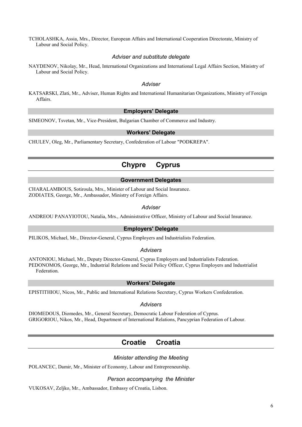TCHOLASHKA, Assia, Mrs., Director, European Affairs and International Cooperation Directorate, Ministry of Labour and Social Policy.

## *Adviser and substitute delegate*

NAYDENOV, Nikolay, Mr., Head, International Organizations and International Legal Affairs Section, Ministry of Labour and Social Policy.

### *Adviser*

KATSARSKI, Zlati, Mr., Adviser, Human Rights and International Humanitarian Organizations, Ministry of Foreign Affairs.

## **Employers' Delegate**

SIMEONOV, Tsvetan, Mr., Vice-President, Bulgarian Chamber of Commerce and Industry.

## **Workers' Delegate**

CHULEV, Oleg, Mr., Parliamentary Secretary, Confederation of Labour "PODKREPA".

## **Chypre Cyprus**

## **Government Delegates**

CHARALAMBOUS, Sotiroula, Mrs., Minister of Labour and Social Insurance. ZODIATES, George, Mr., Ambassador, Ministry of Foreign Affairs.

## *Adviser*

ANDREOU PANAYIOTOU, Natalia, Mrs., Administrative Officer, Ministry of Labour and Social Insurance.

## **Employers' Delegate**

PILIKOS, Michael, Mr., Director-General, Cyprus Employers and Industrialists Federation.

#### *Advisers*

ANTONIOU, Michael, Mr., Deputy Director-General, Cyprus Employers and Industrialists Federation. PEDONOMOS, George, Mr., Industrial Relations and Social Policy Officer, Cyprus Employers and Industrialist Federation.

#### **Workers' Delegate**

EPISTITHIOU, Nicos, Mr., Public and International Relations Secretary, Cyprus Workers Confederation.

#### *Advisers*

DIOMEDOUS, Diomedes, Mr., General Secretary, Democratic Labour Federation of Cyprus. GRIGORIOU, Nikos, Mr., Head, Department of International Relations, Pancyprian Federation of Labour.

## **Croatie Croatia**

## *Minister attending the Meeting*

POLANCEC, Damir, Mr., Minister of Economy, Labour and Entrepreneurship.

#### *Person accompanying the Minister*

VUKOSAV, Zeljko, Mr., Ambassador, Embassy of Croatia, Lisbon.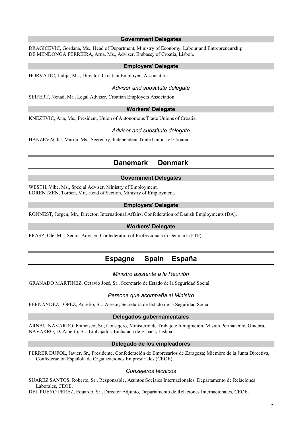#### **Government Delegates**

DRAGICEVIC, Gordana, Ms., Head of Department, Ministry of Economy, Labour and Entrepreneurship. DE MENDONGA FERREIRA, Arna, Ms., Adviser, Embassy of Croatia, Lisbon.

#### **Employers' Delegate**

HORVATIC, Lidija, Ms., Director, Croatian Employers Association.

#### *Adviser and substitute delegate*

SEIFERT, Nenad, Mr., Legal Adviser, Croatian Employers Association.

## **Workers' Delegate**

KNEZEVIC, Ana, Ms., President, Union of Autonomous Trade Unions of Croatia.

### *Adviser and substitute delegate*

HANZEVACKI, Marija, Ms., Secretary, Independent Trade Unions of Croatia.

## **Danemark Denmark**

#### **Government Delegates**

WESTH, Vibe, Ms., Special Adviser, Ministry of Employment. LORENTZEN, Torben, Mr., Head of Section, Ministry of Employment.

## **Employers' Delegate**

RONNEST, Jorgen, Mr., Director, International Affairs, Confederation of Danish Employments (DA).

## **Workers' Delegate**

PRASZ, Ole, Mr., Senior Adviser, Confederation of Professionals in Denmark (FTF).

## **Espagne Spain España**

### *Ministro asistente a la Reunión*

GRANADO MARTÍNEZ, Octavio José, Sr., Secretario de Estado de la Seguridad Social.

#### *Persona que acompaña al Ministro*

FERNÁNDEZ LÓPEZ, Aurelio, Sr., Asesor, Secretaría de Estado de la Seguridad Social.

#### **Delegados gubernamentales**

ARNAU NAVARRO, Francisco, Sr., Consejero, Ministerio de Trabajo e Inmigración, Misión Permanente, Ginebra. NAVARRO, D. Alberto, Sr., Embajador, Embajada de España, Lisboa.

#### **Delegado de los empleadores**

FERRER DUFOL, Javier, Sr., Presidente, Confederación de Empresarios de Zaragoza; Miembre de la Junta Directiva, Confederación Española de Organizaciones Empresariales (CEOE).

#### *Consejeros técnicos*

SUAREZ SANTOS, Roberto, Sr., Responsable, Asuntos Sociales Internacionales, Departamento de Relaciones Laborales, CEOE.

DEL PUEYO PEREZ, Eduardo, Sr., Director Adjunto, Departamento de Relaciones Internacionales, CEOE.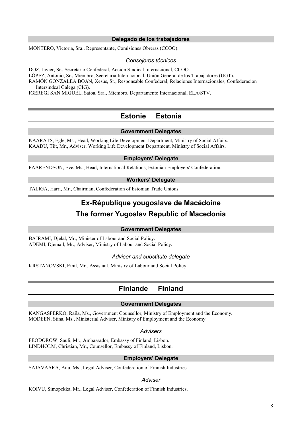## **Delegado de los trabajadores**

MONTERO, Victoria, Sra., Representante, Comisiones Obreras (CCOO).

### *Consejeros técnicos*

DOZ, Javier, Sr., Secretario Confederal, Acción Sindical Internacional, CCOO. LÓPEZ, Antonio, Sr., Miembro, Secretaría Internacional, Unión General de los Trabajadores (UGT). RAMÓN GONZALEA BOAN, Xesús, Sr., Responsable Confederal, Relaciones Internacionales, Confederación Intersindcal Galega (CIG).

IGEREGI SAN MIGUEL, Saioa, Sra., Miembro, Departamento Internacional, ELA/STV.

## **Estonie Estonia**

## **Government Delegates**

KAARATS, Egle, Ms., Head, Working Life Development Department, Ministry of Social Affairs. KAADU, Tiit, Mr., Adviser, Working Life Development Department, Ministry of Social Affairs.

## **Employers' Delegate**

PAARENDSON, Eve, Ms., Head, International Relations, Estonian Employers' Confederation.

## **Workers' Delegate**

TALIGA, Harri, Mr., Chairman, Confederation of Estonian Trade Unions.

## **Ex-République yougoslave de Macédoine**

## **The former Yugoslav Republic of Macedonia**

#### **Government Delegates**

BAJRAMI, Djelal, Mr., Minister of Labour and Social Policy. ADEMI, Djemail, Mr., Adviser, Ministry of Labour and Social Policy.

#### *Adviser and substitute delegate*

KRSTANOVSKI, Emil, Mr., Assistant, Ministry of Labour and Social Policy.

## **Finlande Finland**

## **Government Delegates**

KANGASPERKO, Raila, Ms., Government Counsellor, Ministry of Employment and the Economy. MODEEN, Stina, Ms., Ministerial Adviser, Ministry of Employment and the Economy.

#### *Advisers*

FEODOROW, Sauli, Mr., Ambassador, Embassy of Finland, Lisbon. LINDHOLM, Christian, Mr., Counsellor, Embassy of Finland, Lisbon.

### **Employers' Delegate**

SAJAVAARA, Anu, Ms., Legal Adviser, Confederation of Finnish Industries.

### *Adviser*

KOIVU, Simopekka, Mr., Legal Adviser, Confederation of Finnish Industries.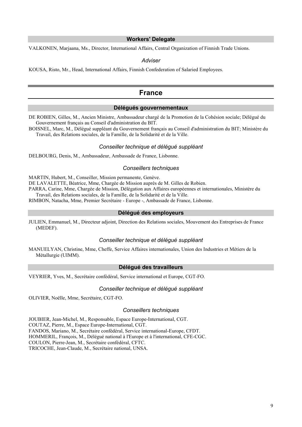### **Workers' Delegate**

VALKONEN, Marjaana, Ms., Director, International Affairs, Central Organization of Finnish Trade Unions.

#### *Adviser*

KOUSA, Risto, Mr., Head, International Affairs, Finnish Confederation of Salaried Employees.

## **France**

### **Délégués gouvernementaux**

DE ROBIEN, Gilles, M., Ancien Ministre, Ambassadeur chargé de la Promotion de la Cohésion sociale; Délégué du Gouvernement français au Conseil d'administration du BIT.

BOISNEL, Marc, M., Délégué suppléant du Gouvernement français au Conseil d'administration du BIT; Ministère du Travail, des Relations sociales, de la Famille, de la Solidarité et de la Ville.

#### *Conseiller technique et délégué suppléant*

DELBOURG, Denis, M., Ambassadeur, Ambassade de France, Lisbonne.

#### *Conseillers techniques*

MARTIN, Hubert, M., Conseiller, Mission permanente, Genève.

DE LAVALETTE, Béatrice, Mme, Chargée de Mission auprès de M. Gilles de Robien.

PARRA, Carine, Mme, Chargée de Mission, Délégation aux Affaires européennes et internationales, Ministère du Travail, des Relations sociales, de la Famille, de la Solidarité et de la Ville.

RIMBON, Natacha, Mme, Premier Secrétaire - Europe -, Ambassade de France, Lisbonne.

#### **Délégué des employeurs**

JULIEN, Emmanuel, M., Directeur adjoint, Direction des Relations sociales, Mouvement des Entreprises de France (MEDEF).

#### *Conseiller technique et délégué suppléant*

MANUELYAN, Christine, Mme, Cheffe, Service Affaires internationales, Union des Industries et Métiers de la Métallurgie (UIMM).

#### **Délégué des travailleurs**

VEYRIER, Yves, M., Secrétaire confédéral, Service international et Europe, CGT-FO.

#### *Conseiller technique et délégué suppléant*

OLIVIER, Noëlle, Mme, Secrétaire, CGT-FO.

#### *Conseillers techniques*

JOUBIER, Jean-Michel, M., Responsable, Espace Europe-International, CGT. COUTAZ, Pierre, M., Espace Europe-International, CGT. FANDOS, Mariano, M., Secrétaire confédéral, Service international-Europe, CFDT. HOMMERIL, François, M., Délégué national à l'Europe et à l'international, CFE-CGC. COULON, Pierre-Jean, M., Secrétaire confédéral, CFTC. TRICOCHE, Jean-Claude, M., Secrétaire national, UNSA.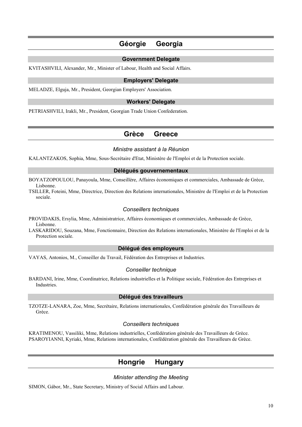## **Géorgie Georgia**

#### **Government Delegate**

KVITASHVILI, Alexander, Mr., Minister of Labour, Health and Social Affairs.

## **Employers' Delegate**

MELADZE, Elguja, Mr., President, Georgian Employers' Association.

### **Workers' Delegate**

PETRIASHVILI, Irakli, Mr., President, Georgian Trade Union Confederation.

## **Grèce Greece**

#### *Ministre assistant à la Réunion*

KALANTZAKOS, Sophia, Mme, Sous-Secrétaire d'Etat, Ministère de l'Emploi et de la Protection sociale.

### **Délégués gouvernementaux**

BOYATZOPOULOU, Panayoula, Mme, Conseillère, Affaires économiques et commerciales, Ambassade de Grèce, Lisbonne.

TSILLER, Foteini, Mme, Directrice, Direction des Relations internationales, Ministère de l'Emploi et de la Protection sociale.

### *Conseillers techniques*

PROVIDAKIS, Ersylia, Mme, Administratrice, Affaires économiques et commerciales, Ambassade de Grèce, Lisbonne.

LASKARIDOU, Souzana, Mme, Fonctionnaire, Direction des Relations internationales, Ministère de l'Emploi et de la Protection sociale.

## **Délégué des employeurs**

VAYAS, Antonios, M., Conseiller du Travail, Fédération des Entreprises et Industries.

#### *Conseiller technique*

BARDANI, Irine, Mme, Coordinatrice, Relations industrielles et la Politique sociale, Fédération des Entreprises et Industries.

### **Délégué des travailleurs**

TZOTZE-LANARA, Zoe, Mme, Secrétaire, Relations internationales, Confédération générale des Travailleurs de Grèce.

## *Conseillers techniques*

KRATIMENOU, Vassiliki, Mme, Relations industrielles, Confédération générale des Travailleurs de Grèce. PSAROYIANNI, Kyriaki, Mme, Relations internationales, Confédération générale des Travailleurs de Grèce.

## **Hongrie Hungary**

### *Minister attending the Meeting*

SIMON, Gábor, Mr., State Secretary, Ministry of Social Affairs and Labour.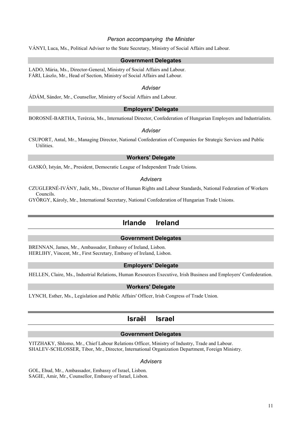### *Person accompanying the Minister*

VÁNYI, Luca, Ms., Political Adviser to the State Secretary, Ministry of Social Affairs and Labour.

#### **Government Delegates**

LADO, Mária, Ms., Director-General, Ministry of Social Affairs and Labour. FÁRI, Lászlo, Mr., Head of Section, Ministry of Social Affairs and Labour.

#### *Adviser*

ÁDÁM, Sándor, Mr., Counsellor, Ministry of Social Affairs and Labour.

## **Employers' Delegate**

BOROSNÉ-BARTHA, Terérzia, Ms., International Director, Confederation of Hungarian Employers and Industrialists.

### *Adviser*

CSUPORT, Antal, Mr., Managing Director, National Confederation of Companies for Strategic Services and Public Utilities.

### **Workers' Delegate**

GASKÓ, Istyán, Mr., President, Democratic League of Independent Trade Unions.

#### *Advisers*

CZUGLERNÉ-IVÁNY, Judit, Ms., Director of Human Rights and Labour Standards, National Federation of Workers Councils.

GYÖRGY, Károly, Mr., International Secretary, National Confederation of Hungarian Trade Unions.

## **Irlande Ireland**

## **Government Delegates**

BRENNAN, James, Mr., Ambassador, Embassy of Ireland, Lisbon. HERLIHY, Vincent, Mr., First Secretary, Embassy of Ireland, Lisbon.

## **Employers' Delegate**

HELLEN, Claire, Ms., Industrial Relations, Human Resources Executive, Irish Business and Employers' Confederation.

### **Workers' Delegate**

LYNCH, Esther, Ms., Legislation and Public Affairs' Officer, Irish Congress of Trade Union.

## **Israël Israel**

#### **Government Delegates**

YITZHAKY, Shlomo, Mr., Chief Labour Relations Officer, Ministry of Industry, Trade and Labour. SHALEV-SCHLOSSER, Tibor, Mr., Director, International Organization Department, Foreign Ministry.

#### *Advisers*

GOL, Ehud, Mr., Ambassador, Embassy of Israel, Lisbon. SAGIE, Amir, Mr., Counsellor, Embassy of Israel, Lisbon.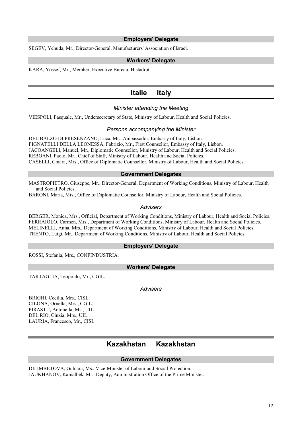### **Employers' Delegate**

SEGEV, Yehuda, Mr., Director-General, Manufacturers' Association of Israel.

### **Workers' Delegate**

KARA, Yossef, Mr., Member, Executive Bureau, Histadrut.

## **Italie Italy**

## *Minister attending the Meeting*

VIESPOLI, Pasquale, Mr., Undersecretary of State, Ministry of Labour, Health and Social Policies.

#### *Persons accompanying the Minister*

DEL BALZO DI PRESENZANO, Luca, Mr., Ambassador, Embassy of Italy, Lisbon. PIGNATELLI DELLA LEONESSA, Fabrizio, Mr., First Counsellor, Embassy of Italy, Lisbon. JACOANGELI, Manuel, Mr., Diplomatic Counsellor, Ministry of Labour, Health and Social Policies. REBOANI, Paolo, Mr., Chief of Staff, Ministry of Labour, Health and Social Policies. CASELLI, Chiara, Mrs., Office of Diplomatic Counsellor, Ministry of Labour, Health and Social Policies.

#### **Government Delegates**

MASTROPIETRO, Giuseppe, Mr., Director-General, Department of Working Conditions, Ministry of Labour, Health and Social Policies.

BARONI, Maria, Mrs., Office of Diplomatic Counsellor, Ministry of Labour, Health and Social Policies.

#### *Advisers*

BERGER, Monica, Mrs., Official, Department of Working Conditions, Ministry of Labour, Health and Social Policies. FERRAIOLO, Carmen, Mrs., Department of Working Conditions, Ministry of Labour, Health and Social Policies. MELINELLI, Anna, Mrs., Department of Working Conditions, Ministry of Labour, Health and Social Policies. TRENTO, Luigi, Mr., Department of Working Conditions, Ministry of Labour, Health and Social Policies.

#### **Employers' Delegate**

ROSSI, Stefania, Mrs., CONFINDUSTRIA.

### **Workers' Delegate**

TARTAGLIA, Leopoldo, Mr., CGIL.

*Advisers* 

BRIGHI, Cecilia, Mrs., CISL. CILONA, Ornella, Mrs., CGIL. PIRASTU, Antonella, Ms., UIL. DEL RIO, Cinzia, Mrs., UIL. LAURIA, Francesco, Mr., CISL.

## **Kazakhstan Kazakhstan**

#### **Government Delegates**

DILIMBETOVA, Gulnara, Ms., Vice-Minister of Labour and Social Protection. JAUKHANOV, Kamalbek, Mr., Deputy, Administration Office of the Prime Minister.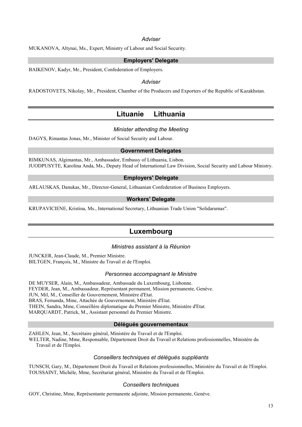## *Adviser*

MUKANOVA, Altynai, Ms., Expert, Ministry of Labour and Social Security.

## **Employers' Delegate**

BAIKENOV, Kadyr, Mr., President, Confederation of Employers.

### *Adviser*

RADOSTOVETS, Nikolay, Mr., President, Chamber of the Producers and Exporters of the Republic of Kazakhstan.

## **Lituanie Lithuania**

## *Minister attending the Meeting*

DAGYS, Rimantas Jonas, Mr., Minister of Social Security and Labour.

#### **Government Delegates**

RIMKUNAS, Algimantas, Mr., Ambassador, Embassy of Lithuania, Lisbon. JUODPUSYTE, Karolina Anda, Ms., Deputy Head of International Law Division, Social Security and Labour Ministry.

## **Employers' Delegate**

ARLAUSKAS, Danukas, Mr., Director-General, Lithuanian Confederation of Business Employers.

#### **Workers' Delegate**

KRUPAVICIENE, Kristina, Ms., International Secretary, Lithuanian Trade Union "Solidarumas".

## **Luxembourg**

## *Ministres assistant à la Réunion*

JUNCKER, Jean-Claude, M., Premier Ministre. BILTGEN, François, M., Ministre du Travail et de l'Emploi.

#### *Personnes accompagnant le Ministre*

DE MUYSER, Alain, M., Ambassadeur, Ambassade du Luxembourg, Lisbonne. FEYDER, Jean, M., Ambassadeur, Représentant permanent, Mission permanente, Genève. JUN, Mil, M., Conseiller de Gouvernement, Ministère d'Etat. BRAS, Fernanda, Mme, Attachée de Gouvernement, Ministère d'Etat. THEIN, Sandra, Mme, Conseillère diplomatique du Premier Ministre, Ministère d'Etat. MARQUARDT, Patrick, M., Assistant personnel du Premier Ministre.

#### **Délégués gouvernementaux**

ZAHLEN, Jean, M., Secrétaire général, Ministère du Travail et de l'Emploi.

WELTER, Nadine, Mme, Responsable, Département Droit du Travail et Relations professionnelles, Ministère du Travail et de l'Emploi.

### *Conseillers techniques et délégués suppléants*

TUNSCH, Gary, M., Département Droit du Travail et Relations professionnelles, Ministère du Travail et de l'Emploi. TOUSSAINT, Michèle, Mme, Secrétariat général, Ministère du Travail et de l'Emploi.

#### *Conseillers techniques*

GOY, Christine, Mme, Représentante permanente adjointe, Mission permanente, Genève.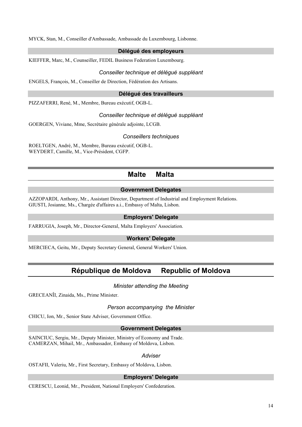MYCK, Stan, M., Conseiller d'Ambassade, Ambassade du Luxembourg, Lisbonne.

## **Délégué des employeurs**

KIEFFER, Marc, M., Counseiller, FEDIL Business Federation Luxembourg.

## *Conseiller technique et délégué suppléant*

ENGELS, François, M., Conseiller de Direction, Fédération des Artisans.

### **Délégué des travailleurs**

PIZZAFERRI, René, M., Membre, Bureau exécutif, OGB-L.

## *Conseiller technique et délégué suppléant*

GOERGEN, Viviane, Mme, Secrétaire générale adjointe, LCGB.

## *Conseillers techniques*

ROELTGEN, André, M., Membre, Bureau exécutif, OGB-L. WEYDERT, Camille, M., Vice-Président, CGFP.

## **Malte Malta**

## **Government Delegates**

AZZOPARDI, Anthony, Mr., Assistant Director, Department of Industrial and Employment Relations. GIUSTI, Josianne, Ms., Chargée d'affaires a.i., Embassy of Malta, Lisbon.

## **Employers' Delegate**

FARRUGIA, Joseph, Mr., Director-General, Malta Employers' Association.

## **Workers' Delegate**

MERCIECA, Geitu, Mr., Deputy Secretary General, General Workers' Union.

## **République de Moldova Republic of Moldova**

## *Minister attending the Meeting*

GRECEANÎI, Zinaida, Ms., Prime Minister.

#### *Person accompanying the Minister*

CHICU, Ion, Mr., Senior State Adviser, Government Office.

#### **Government Delegates**

SAINCIUC, Sergiu, Mr., Deputy Minister, Ministry of Economy and Trade. CAMERZAN, Mihail, Mr., Ambassador, Embassy of Moldova, Lisbon.

#### *Adviser*

OSTAFII, Valeriu, Mr., First Secretary, Embassy of Moldova, Lisbon.

#### **Employers' Delegate**

CERESCU, Leonid, Mr., President, National Employers' Confederation.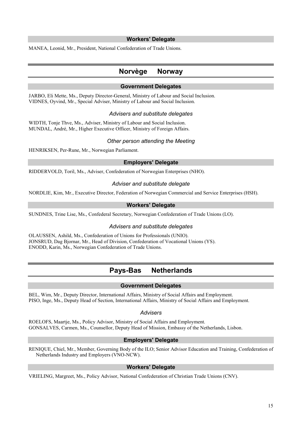### **Workers' Delegate**

MANEA, Leonid, Mr., President, National Confederation of Trade Unions.

## **Norvège Norway**

## **Government Delegates**

JARBO, Eli Mette, Ms., Deputy Director-General, Ministry of Labour and Social Inclusion. VIDNES, Oyvind, Mr., Special Adviser, Ministry of Labour and Social Inclusion.

## *Advisers and substitute delegates*

WIDTH, Tonje Thve, Ms., Adviser, Ministry of Labour and Social Inclusion. MUNDAL, André, Mr., Higher Executive Officer, Ministry of Foreign Affairs.

## *Other person attending the Meeting*

HENRIKSEN, Per-Rune, Mr., Norwegian Parliament.

## **Employers' Delegate**

RIDDERVOLD, Toril, Ms., Adviser, Confederation of Norwegian Enterprises (NHO).

## *Adviser and substitute delegate*

NORDLIE, Kim, Mr., Executive Director, Federation of Norwegian Commercial and Service Enterprises (HSH).

## **Workers' Delegate**

SUNDNES, Trine Lise, Ms., Confederal Secretary, Norwegian Confederation of Trade Unions (LO).

#### *Advisers and substitute delegates*

OLAUSSEN, Ashild, Ms., Confederation of Unions for Professionals (UNIO). JONSRUD, Dag Bjornar, Mr., Head of Division, Confederation of Vocational Unions (YS). ENODD, Karin, Ms., Norwegian Confederation of Trade Unions.

## **Pays-Bas Netherlands**

#### **Government Delegates**

BEL, Wim, Mr., Deputy Director, International Affairs, Ministry of Social Affairs and Employment. PISO, Inge, Ms., Deputy Head of Section, International Affairs, Ministry of Social Affairs and Employment.

#### *Advisers*

ROELOFS, Maartje, Ms., Policy Advisor, Ministry of Social Affairs and Employment. GONSALVES, Carmen, Ms., Counsellor, Deputy Head of Mission, Embassy of the Netherlands, Lisbon.

#### **Employers' Delegate**

RENIQUE, Chiel, Mr., Member, Governing Body of the ILO; Senior Advisor Education and Training, Confederation of Netherlands Industry and Employers (VNO-NCW).

### **Workers' Delegate**

VRIELING, Margreet, Ms., Policy Advisor, National Confederation of Christian Trade Unions (CNV).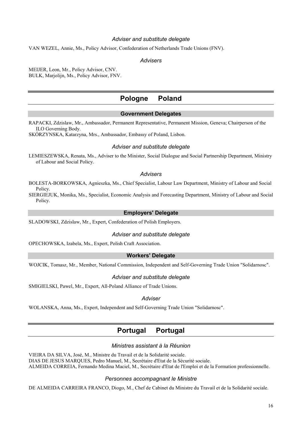## *Adviser and substitute delegate*

VAN WEZEL, Annie, Ms., Policy Advisor, Confederation of Netherlands Trade Unions (FNV).

### *Advisers*

MEIJER, Leon, Mr., Policy Advisor, CNV. BULK, Marjolijn, Ms., Policy Advisor, FNV.

## **Pologne Poland**

### **Government Delegates**

RAPACKI, Zdzislaw, Mr., Ambassador, Permanent Representative, Permanent Mission, Geneva; Chairperson of the ILO Governing Body.

SKÓRZYNSKA, Katarzyna, Mrs., Ambassador, Embassy of Poland, Lisbon.

#### *Adviser and substitute delegate*

LEMIESZEWSKA, Renata, Ms., Adviser to the Minister, Social Dialogue and Social Partnership Department, Ministry of Labour and Social Policy.

### *Advisers*

BOLESTA-BORKOWSKA, Agnieszka, Ms., Chief Specialist, Labour Law Department, Ministry of Labour and Social Policy.

SIERGIEJUK, Monika, Ms., Specialist, Economic Analysis and Forecasting Department, Ministry of Labour and Social Policy.

#### **Employers' Delegate**

SLADOWSKI, Zdzislaw, Mr., Expert, Confederation of Polish Employers.

#### *Adviser and substitute delegate*

OPECHOWSKA, Izabela, Ms., Expert, Polish Craft Association.

## **Workers' Delegate**

WOJCIK, Tomasz, Mr., Member, National Commission, Independent and Self-Governing Trade Union "Solidarnosc".

#### *Adviser and substitute delegate*

SMIGIELSKI, Pawel, Mr., Expert, All-Poland Alliance of Trade Unions.

## *Adviser*

WOLANSKA, Anna, Ms., Expert, Independent and Self-Governing Trade Union "Solidarnosc".

## **Portugal Portugal**

#### *Ministres assistant à la Réunion*

VIEIRA DA SILVA, José, M., Ministre du Travail et de la Solidarité sociale. DIAS DE JESUS MARQUES, Pedro Manuel, M., Secrétaire d'Etat de la Sécurité sociale. ALMEIDA CORREIA, Fernando Medina Maciel, M., Secrétaire d'Etat de l'Emploi et de la Formation professionnelle.

#### *Personnes accompagnant le Ministre*

DE ALMEIDA CARREIRA FRANCO, Diogo, M., Chef de Cabinet du Ministre du Travail et de la Solidarité sociale.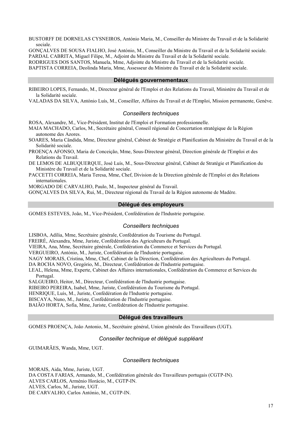BUSTORFF DE DORNELAS CYSNEIROS, António Maria, M., Conseiller du Ministre du Travail et de la Solidarité sociale.

GONÇALVES DE SOUSA FIALHO, José António, M., Conseiller du Ministre du Travail et de la Solidarité sociale.

PARDAL CABRITA, Miguel Filipe, M., Adjoint du Ministre du Travail et de la Solidarité sociale.

RODRIGUES DOS SANTOS, Manuela, Mme, Adjointe du Ministre du Travail et de la Solidarité sociale.

BAPTISTA CORREIA, Deolinda Maria, Mme, Assesseur du Ministre du Travail et de la Solidarité sociale.

## **Délégués gouvernementaux**

RIBEIRO LOPES, Fernando, M., Directeur général de l'Emploi et des Relations du Travail, Ministère du Travail et de la Solidarité sociale.

VALADAS DA SILVA, António Luís, M., Conseiller, Affaires du Travail et de l'Emploi, Mission permanente, Genève.

### *Conseillers techniques*

ROSA, Alexandre, M., Vice-Président, Institut de l'Emploi et Formation professionnelle.

MAIA MACHADO, Carlos, M., Secrétaire général, Conseil régional de Concertation stratégique de la Région autonome des Azores.

SOARES, Maria Cândida, Mme, Directeur général, Cabinet de Stratégie et Planification du Ministère du Travail et de la Solidarité sociale.

PROENÇA AFONSO, Maria de Conceição, Mme, Sous-Directeur général, Direction générale de l'Emploi et des Relations du Travail.

DE LEMOS DE ALBUQUERQUE, José Luís, M., Sous-Directeur général, Cabinet de Stratégie et Planification du Ministère du Travail et de la Solidarité sociale.

PACCETTI CORREIA, Maria Teresa, Mme, Chef, Division de la Direction générale de l'Emploi et des Relations internationales.

MORGADO DE CARVALHO, Paulo, M., Inspecteur général du Travail.

GONÇALVES DA SILVA, Rui, M., Directeur régional du Travail de la Région autonome de Madère.

#### **Délégué des employeurs**

GOMES ESTEVES, João, M., Vice-Président, Confédération de l'Industrie portugaise.

#### *Conseillers techniques*

LISBOA, Adília, Mme, Secrétaire générale, Confédération du Tourisme du Portugal.

FREIRÉ, Alexandra, Mme, Juriste, Confédération des Agriculteurs du Portugal.

VIEIRA, Ana, Mme, Secrétaire générale, Confédération du Commerce et Services du Portugal.

VERGUEIRO, António, M., Juriste, Confédération de l'Industrie portugaise.

NAGY MORAIS, Cristina, Mme, Chef, Cabinet de la Direction, Confédération des Agriculteurs du Portugal.

DA ROCHA NOVO, Gregório, M., Directeur, Confédération de l'Industrie portugaise.

LEAL, Helena, Mme, Experte, Cabinet des Affaires internationales, Confédération du Commerce et Services du Portugal.

SALGUEIRO, Heitor, M., Directeur, Confédération de l'Industrie portugaise.

RIBEIRO PEREIRA, Isabel, Mme, Juriste, Confédération du Tourisme du Portugal.

HENRIQUE, Luís, M., Juriste, Confédération de l'Industrie portugaise.

BISCAYA, Nuno, M., Juriste, Confédération de l'Industrie portugaise.

BAIÃO HORTA, Sofia, Mme, Juriste, Confédération de l'Industrie portugaise.

#### **Délégué des travailleurs**

GOMES PROENÇA, João Antonio, M., Secrétaire général, Union générale des Travailleurs (UGT).

## *Conseiller technique et délégué suppléant*

GUIMARÃES, Wanda, Mme, UGT.

## *Conseillers techniques*

MORAIS, Aida, Mme, Juriste, UGT. DA COSTA FARIAS, Armando, M., Confédération générale des Travailleurs portugais (CGTP-IN). ALVES CARLOS, Arménio Horácio, M., CGTP-IN. ALVES, Carlos, M., Juriste, UGT. DE CARVALHO, Carlos António, M., CGTP-IN.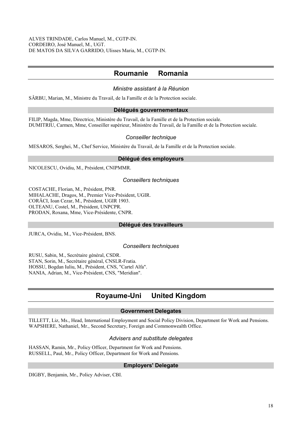## **Roumanie Romania**

## *Ministre assistant à la Réunion*

SÂRBU, Marian, M., Ministre du Travail, de la Famille et de la Protection sociale.

## **Délégués gouvernementaux**

FILIP, Magda, Mme, Directrice, Ministère du Travail, de la Famille et de la Protection sociale. DUMITRIU, Carmen, Mme, Conseiller supérieur, Ministère du Travail, de la Famille et de la Protection sociale.

## *Conseiller technique*

MESAROS, Serghei, M., Chef Service, Ministère du Travail, de la Famille et de la Protection sociale.

## **Délégué des employeurs**

NICOLESCU, Ovidiu, M., Président, CNIPMMR.

## *Conseillers techniques*

COSTACHE, Florian, M., Président, PNR. MIHALACHE, Dragos, M., Premier Vice-Président, UGIR. CORÂCI, Ioan Cezar, M., Président, UGIR 1903. OLTEANU, Costel, M., Président, UNPCPR. PRODAN, Roxana, Mme, Vice-Présidente, CNPR.

## **Délégué des travailleurs**

JURCA, Ovidiu, M., Vice-Président, BNS.

## *Conseillers techniques*

RUSU, Sabin, M., Secrétaire général, CSDR. STAN, Sorin, M., Secrétaire général, CNSLR-Fratia. HOSSU, Bogdan Iuliu, M., Président, CNS, "Cartel Alfa". NANIA, Adrian, M., Vice-Président, CNS, "Meridian".

## **Royaume-Uni United Kingdom**

## **Government Delegates**

TILLETT, Liz, Ms., Head, International Employment and Social Policy Division, Department for Work and Pensions. WAPSHERE, Nathaniel, Mr., Second Secretary, Foreign and Commonwealth Office.

## *Advisers and substitute delegates*

HASSAN, Ramin, Mr., Policy Officer, Department for Work and Pensions. RUSSELL, Paul, Mr., Policy Officer, Department for Work and Pensions.

## **Employers' Delegate**

DIGBY, Benjamin, Mr., Policy Adviser, CBI.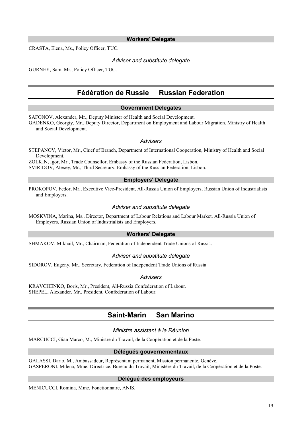### **Workers' Delegate**

CRASTA, Elena, Ms., Policy Officer, TUC.

### *Adviser and substitute delegate*

GURNEY, Sam, Mr., Policy Officer, TUC.

## **Fédération de Russie Russian Federation**

## **Government Delegates**

SAFONOV, Alexander, Mr., Deputy Minister of Health and Social Development.

GADENKO, Georgiy, Mr., Deputy Director, Department on Employment and Labour Migration, Ministry of Health and Social Development.

#### *Advisers*

STEPANOV, Victor, Mr., Chief of Branch, Department of International Cooperation, Ministry of Health and Social Development.

ZOLKIN, Igor, Mr., Trade Counsellor, Embassy of the Russian Federation, Lisbon. SVIRIDOV, Alexey, Mr., Third Secretary, Embassy of the Russian Federation, Lisbon.

## **Employers' Delegate**

PROKOPOV, Fedor, Mr., Executive Vice-President, All-Russia Union of Employers, Russian Union of Industrialists and Employers.

#### *Adviser and substitute delegate*

MOSKVINA, Marina, Ms., Director, Department of Labour Relations and Labour Market, All-Russia Union of Employers, Russian Union of Industrialists and Employers.

#### **Workers' Delegate**

SHMAKOV, Mikhail, Mr., Chairman, Federation of Independent Trade Unions of Russia.

#### *Adviser and substitute delegate*

SIDOROV, Eugeny, Mr., Secretary, Federation of Independent Trade Unions of Russia.

#### *Advisers*

KRAVCHENKO, Boris, Mr., President, All-Russia Confederation of Labour. SHEPEL, Alexander, Mr., President, Confederation of Labour.

## **Saint-Marin San Marino**

## *Ministre assistant à la Réunion*

MARCUCCI, Gian Marco, M., Ministre du Travail, de la Coopération et de la Poste.

### **Délégués gouvernementaux**

GALASSI, Dario, M., Ambassadeur, Représentant permanent, Mission permanente, Genève. GASPERONI, Milena, Mme, Directrice, Bureau du Travail, Ministère du Travail, de la Coopération et de la Poste.

#### **Délégué des employeurs**

MENICUCCI, Romina, Mme, Fonctionnaire, ANIS.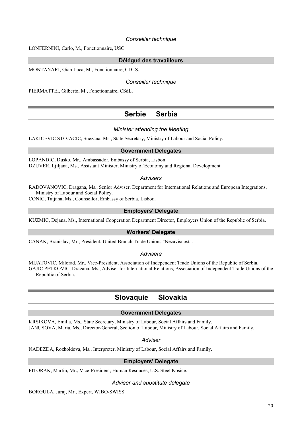### *Conseiller technique*

LONFERNINI, Carlo, M., Fonctionnaire, USC.

## **Délégué des travailleurs**

MONTANARI, Gian Luca, M., Fonctionnaire, CDLS.

## *Conseiller technique*

PIERMATTEI, Gilberto, M., Fonctionnaire, CSdL.

## **Serbie Serbia**

## *Minister attending the Meeting*

LAKICEVIC STOJACIC, Snezana, Ms., State Secretary, Ministry of Labour and Social Policy.

### **Government Delegates**

LOPANDIC, Dusko, Mr., Ambassador, Embassy of Serbia, Lisbon. DZUVER, Ljiljana, Ms., Assistant Minister, Ministry of Economy and Regional Development.

## *Advisers*

RADOVANOVIC, Dragana, Ms., Senior Adviser, Department for International Relations and European Integrations, Ministry of Labour and Social Policy.

CONIC, Tatjana, Ms., Counsellor, Embassy of Serbia, Lisbon.

## **Employers' Delegate**

KUZMIC, Dejana, Ms., International Cooperation Department Director, Employers Union of the Republic of Serbia.

## **Workers' Delegate**

CANAK, Branislav, Mr., President, United Branch Trade Unions "Nezavisnost".

## *Advisers*

MIJATOVIC, Milorad, Mr., Vice-President, Association of Independent Trade Unions of the Republic of Serbia. GAJIC PETKOVIC, Dragana, Ms., Adviser for International Relations, Association of Independent Trade Unions of the Republic of Serbia.

## **Slovaquie Slovakia**

## **Government Delegates**

KRSIKOVA, Emilia, Ms., State Secretary, Ministry of Labour, Social Affairs and Family. JANUSOVA, Maria, Ms., Director-General, Section of Labour, Ministry of Labour, Social Affairs and Family.

#### *Adviser*

NADEZDA, Rozholdova, Ms., Interpreter, Ministry of Labour, Social Affairs and Family.

## **Employers' Delegate**

PITORAK, Martin, Mr., Vice-President, Human Resouces, U.S. Steel Kosice.

#### *Adviser and substitute delegate*

BORGULA, Juraj, Mr., Expert, WIBO-SWISS.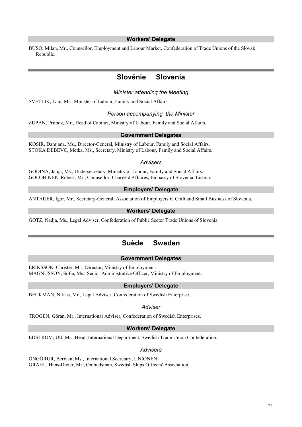### **Workers' Delegate**

BUSO, Milan, Mr., Counsellor, Employment and Labour Market, Confederation of Trade Unions of the Slovak Republic.

## **Slovénie Slovenia**

#### *Minister attending the Meeting*

SVETLIK, Ivan, Mr., Minister of Labour, Family and Social Affairs.

## *Person accompanying the Minister*

ZUPAN, Primoz, Mr., Head of Cabinet, Ministry of Labour, Family and Social Affairs.

#### **Government Delegates**

KOSIR, Damjana, Ms., Director-General, Ministry of Labour, Family and Social Affairs. STOKA DEBEVC, Metka, Ms., Secretary, Ministry of Labour, Family and Social Affairs.

#### *Advisers*

GODINA, Janja, Ms., Undersecretary, Ministry of Labour, Family and Social Affairs. GOLOBINEK, Robert, Mr., Counsellor, Chargé d'Affaires, Embassy of Slovenia, Lisbon.

## **Employers' Delegate**

ANTAUER, Igor, Mr., Secretary-General, Association of Employers in Craft and Small Business of Slovenia.

## **Workers' Delegate**

GOTZ, Nadja, Ms., Legal Adviser, Confederation of Public Sector Trade Unions of Slovenia.

## **Suède Sweden**

## **Government Delegates**

ERIKSSON, Christer, Mr., Director, Ministry of Employment. MAGNUSSON, Sofia, Ms., Senior Administrative Officer, Ministry of Employment.

## **Employers' Delegate**

BECKMAN, Niklas, Mr., Legal Adviser, Confederation of Swedish Enterprise.

#### *Adviser*

TROGEN, Göran, Mr., International Adviser, Confederation of Swedish Enterprises.

#### **Workers' Delegate**

EDSTRÖM, Ulf, Mr., Head, International Department, Swedish Trade Union Confederation.

#### *Advisers*

ÖNGÖRUR, Berivan, Ms., International Secretary, UNIONEN. GRAHL, Hans-Dieter, Mr., Ombudsman, Swedish Ships Officers' Association.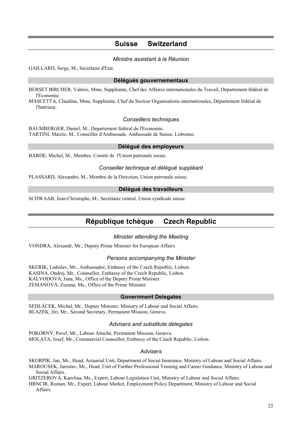## **Suisse Switzerland**

## *Ministre assistant à la Réunion*

GAILLARD, Serge, M., Secrétaire d'Etat.

## **Délégués gouvernementaux**

BERSET BIRCHER, Valérie, Mme, Suppléante, Chef des Affaires internationales du Travail, Département fédéral de l'Economie.

MASCETTA, Claudina, Mme, Suppléante, Chef du Secteur Organisations internationales, Département fédéral de l'Intérieur.

#### *Conseillers techniques*

BAUMBERGER, Daniel, M., Departement fédéral de l'Economie. TARTINI, Marzio, M., Conseiller d'Ambassade, Ambassade de Suisse, Lisbonne.

#### **Délégué des employeurs**

BARDE, Michel, M., Membre, Comité de l'Union patronale suisse.

#### *Conseiller technique et délégué suppléant*

PLASSARD, Alexandre, M., Membre de la Direction, Union patronale suisse.

#### **Délégué des travailleurs**

SCHWAAB, Jean-Christophe, M., Secrétaire central, Union syndicale suisse.

## **République tchèque Czech Republic**

## *Minister attending the Meeting*

VONDRA, Alexandr, Mr., Deputy Prime Minister for European Affairs.

## *Persons accompanying the Minister*

SKERIK, Ladislav, Mr., Ambassador, Embassy of the Czech Republic, Lisbon. KASINA, Ondrej, Mr., Counsellor, Embassy of the Czech Republic, Lisbon. KALVODOVÁ, Jana, Ms., Office of the Deputy Prime Minister. ZEMANOVÁ, Zuzana, Ms., Office of the Prime Minister.

#### **Government Delegates**

SEDLÁCEK, Michal, Mr., Deputy Minister, Ministry of Labour and Social Affairs. BLAZEK, Jiri, Mr., Second Secretary, Permanent Mission, Geneva.

## *Advisers and substitute delegates*

POKORNÝ, Pavel, Mr., Labour Attaché, Permanent Mission, Geneva. MOLATA, Josef, Mr., Commercial Counsellor, Embassy of the Czech Republic, Lisbon.

#### *Advisers*

SKORPÍK, Jan, Mr., Head, Actuarial Unit, Department of Social Insurance, Ministry of Labour and Social Affairs.

MAROUSEK, Jaroslav, Mr., Head, Unit of Further Professional Training and Career Guidance, Ministry of Labour and Social Affairs.

GRITZEROVÁ, Karolína, Ms., Expert, Labour Legislation Unit, Ministry of Labour and Social Affairs.

HRNCIR, Roman, Mr., Expert, Labour Market, Employment Policy Department, Ministry of Labour and Social Affairs.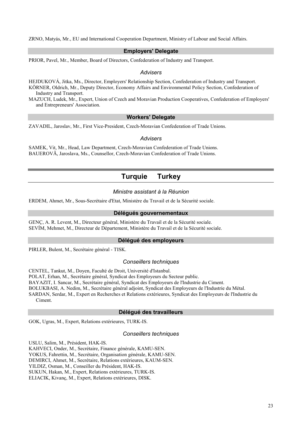ZRNO, Matyás, Mr., EU and International Cooperation Department, Ministry of Labour and Social Affairs.

### **Employers' Delegate**

PRIOR, Pavel, Mr., Member, Board of Directors, Confederation of Industry and Transport.

#### *Advisers*

HEJDUKOVÁ, Jitka, Ms., Director, Employers' Relationship Section, Confederation of Industry and Transport. KÖRNER, Oldrich, Mr., Deputy Director, Economy Affairs and Environmental Policy Section, Confederation of Industry and Transport.

MAZUCH, Ludek, Mr., Expert, Union of Czech and Moravian Production Cooperatives, Confederation of Employers' and Entrepreneurs' Association.

## **Workers' Delegate**

ZAVADIL, Jaroslav, Mr., First Vice-President, Czech-Moravian Confederation of Trade Unions.

#### *Advisers*

SAMEK, Vit, Mr., Head, Law Department, Czech-Moravian Confederation of Trade Unions. BAUEROVÃ, Jaroslava, Ms., Counsellor, Czech-Moravian Confederation of Trade Unions.

## **Turquie Turkey**

## *Ministre assistant à la Réunion*

ERDEM, Ahmet, Mr., Sous-Secrétaire d'Etat, Ministère du Travail et de la Sécurité sociale.

### **Délégués gouvernementaux**

GENÇ, A. R. Levent, M., Directeur général, Ministère du Travail et de la Sécurité sociale. SEVÍM, Mehmet, M., Directeur de Département, Ministère du Travail et de la Sécurité sociale.

#### **Délégué des employeurs**

PIRLER, Bulent, M., Secrétaire général - TISK.

#### *Conseillers techniques*

CENTEL, Tankut, M., Doyen, Faculté de Droit, Université d'Istanbul. POLAT, Erhan, M., Secrétaire général, Syndicat des Employeurs du Secteur public. BAYAZIT, I. Sancar, M., Secrétaire général, Syndicat des Employeurs de l'Industrie du Ciment. BOLUKBASI, A. Nedim, M., Secrétaire général adjoint, Syndicat des Employeurs de l'Industrie du Métal. SARDAN, Serdar, M., Expert en Recherches et Relations extérieures, Syndicat des Employeurs de l'Industrie du Ciment.

#### **Délégué des travailleurs**

GOK, Ugras, M., Expert, Relations extérieures, TURK-IS.

#### *Conseillers techniques*

USLU, Salim, M., Président, HAK-IS. KAHVECI, Onder, M., Secrétaire, Finance générale, KAMU-SEN. YOKUS, Fahrettin, M., Secrétaire, Organisation générale, KAMU-SEN. DEMIRCI, Ahmet, M., Secrétaire, Relations extérieures, KAUM-SEN. YILDIZ, Osman, M., Conseiller du Président, HAK-IS. SUKUN, Hakan, M., Expert, Relations extérieures, TURK-IS. ELIACIK, Kivanç, M., Expert, Relations extérieures, DISK.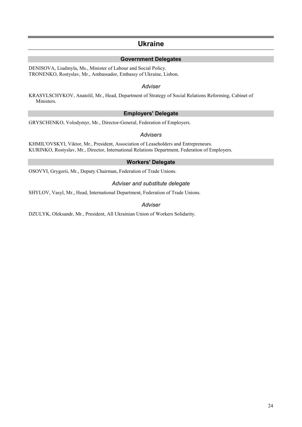## **Ukraine**

## **Government Delegates**

DENISOVA, Liudmyla, Ms., Minister of Labour and Social Policy. TRONENKO, Rostyslav, Mr., Ambassador, Embassy of Ukraine, Lisbon.

#### *Adviser*

KRASYLSCHYKOV, Anatolil, Mr., Head, Department of Strategy of Social Relations Reforming, Cabinet of Ministers.

## **Employers' Delegate**

GRYSCHENKO, Volodymyr, Mr., Director-General, Federation of Employers.

#### *Advisers*

KHMIL'OVSKYI, Viktor, Mr., President, Association of Leaseholders and Entrepreneurs. KURINKO, Rostyslav, Mr., Director, International Relations Department, Federation of Employers.

## **Workers' Delegate**

OSOVYI, Grygorii, Mr., Deputy Chairman, Federation of Trade Unions.

## *Adviser and substitute delegate*

SHYLOV, Vasyl, Mr., Head, International Department, Federation of Trade Unions.

## *Adviser*

DZULYK, Oleksandr, Mr., President, All Ukrainian Union of Workers Solidarity.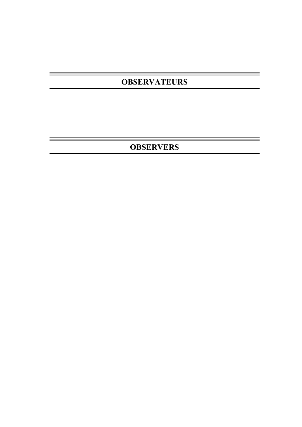# **OBSERVATEURS**

e.

**OBSERVERS**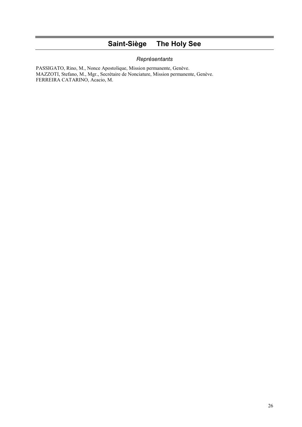# **Saint-Siège The Holy See**

## *Représentants*

PASSIGATO, Rino, M., Nonce Apostolique, Mission permanente, Genève. MAZZOTI, Stefano, M., Mgr., Secrétaire de Nonciature, Mission permanente, Genève. FERREIRA CATARINO, Acacio, M.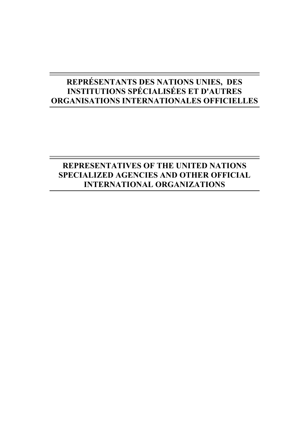# **REPRÉSENTANTS DES NATIONS UNIES, DES INSTITUTIONS SPÉCIALISÉES ET D'AUTRES ORGANISATIONS INTERNATIONALES OFFICIELLES**

# **REPRESENTATIVES OF THE UNITED NATIONS SPECIALIZED AGENCIES AND OTHER OFFICIAL INTERNATIONAL ORGANIZATIONS**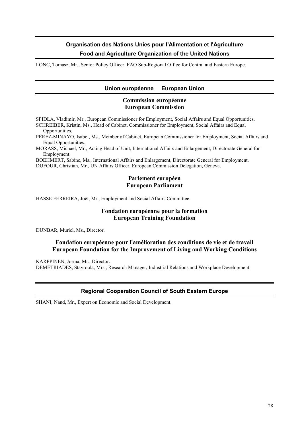## **Organisation des Nations Unies pour l'Alimentation et l'Agriculture Food and Agriculture Organization of the United Nations**

LONC, Tomasz, Mr., Senior Policy Officer, FAO Sub-Regional Office for Central and Eastern Europe.

## **Union européenne European Union**

## **Commission européenne European Commission**

SPIDLA, Vladimir, Mr., European Commissioner for Employment, Social Affairs and Equal Opportunities. SCHREIBER, Kristin, Ms., Head of Cabinet, Commissioner for Employment, Social Affairs and Equal Opportunities.

PEREZ-MINAYO, Isabel, Ms., Member of Cabinet, European Commissioner for Employment, Social Affairs and Equal Opportunities.

MORASS, Michael, Mr., Acting Head of Unit, International Affairs and Enlargement, Directorate General for Employment.

BOEHMERT, Sabine, Ms., International Affairs and Enlargement, Directorate General for Employment. DUFOUR, Christian, Mr., UN Affairs Officer, European Commission Delegation, Geneva.

## **Parlement européen European Parliament**

HASSE FERREIRA, Joël, Mr., Employment and Social Affairs Committee.

## **Fondation européenne pour la formation European Training Foundation**

DUNBAR, Muriel, Ms., Director.

## **Fondation européenne pour l'amélioration des conditions de vie et de travail European Foundation for the Improvement of Living and Working Conditions**

KARPPINEN, Jorma, Mr., Director.

DEMETRIADES, Stavroula, Mrs., Research Manager, Industrial Relations and Workplace Development.

## **Regional Cooperation Council of South Eastern Europe**

SHANI, Nand, Mr., Expert on Economic and Social Development.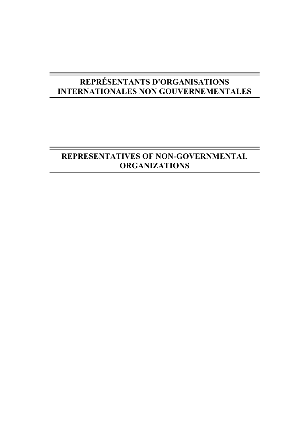# **REPRÉSENTANTS D'ORGANISATIONS INTERNATIONALES NON GOUVERNEMENTALES**

# **REPRESENTATIVES OF NON-GOVERNMENTAL ORGANIZATIONS**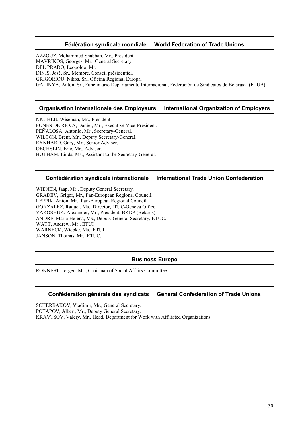## **Fédération syndicale mondiale World Federation of Trade Unions**

AZZOUZ, Mohammed Shabban, Mr., President. MAVRIKOS, Georges, Mr., General Secretary. DEL PRADO, Leopoldo, Mr. DINIS, José, Sr., Membre, Conseil présidentiel. GRIGORIOU, Nikos, Sr., Oficina Regional Europa. GALINYA, Anton, Sr., Funcionario Departamento Internacional, Federación de Sindicatos de Belarusia (FTUB).

## **Organisation internationale des Employeurs International Organization of Employers**

NKUHLU, Wiseman, Mr., President. FUNES DE RIOJA, Daniel, Mr., Executive Vice-President. PEÑALOSA, Antonio, Mr., Secretary-General. WILTON, Brent, Mr., Deputy Secretary-General. RYNHARD, Gary, Mr., Senior Adviser. OECHSLIN, Eric, Mr., Adviser. HOTHAM, Linda, Ms., Assistant to the Secretary-General.

## **Confédération syndicale internationale International Trade Union Confederation**

WIENEN, Jaap, Mr., Deputy General Secretary. GRADEV, Grigor, Mr., Pan-European Regional Council. LEPPIK, Anton, Mr., Pan-European Regional Council. GONZALEZ, Raquel, Ms., Director, ITUC-Geneva Office. YAROSHUK, Alexander, Mr., President, BKDP (Belarus). ANDRÉ, Maria Helena, Ms., Deputy General Secretary, ETUC. WATT, Andrew, Mr., ETUI WARNECK, Wiebke, Ms., ETUI. JANSON, Thomas, Mr., ETUC.

## **Business Europe**

RONNEST, Jorgen, Mr., Chairman of Social Affairs Committee.

## **Confédération générale des syndicats General Confederation of Trade Unions**

SCHERBAKOV, Vladimir, Mr., General Secretary. POTAPOV, Albert, Mr., Deputy General Secretary. KRAVTSOV, Valery, Mr., Head, Department for Work with Affiliated Organizations.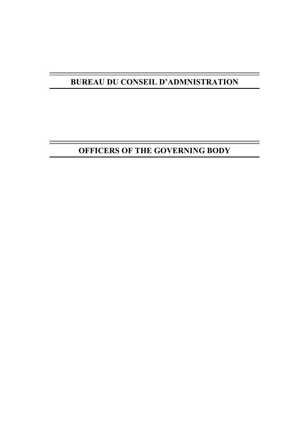# **BUREAU DU CONSEIL D'ADMNISTRATION**

# **OFFICERS OF THE GOVERNING BODY**